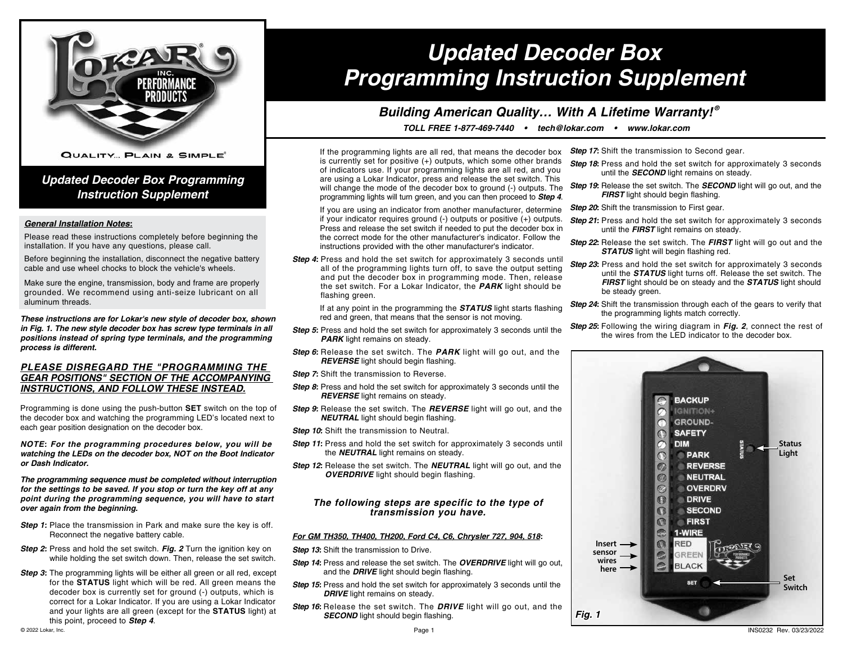

**QUALITY... PLAIN & SIMPLE®** 

### *Updated Decoder Box Programming Instruction Supplement*

### *General Installation Notes:*

Please read these instructions completely before beginning the installation. If you have any questions, please call.

Before beginning the installation, disconnect the negative battery cable and use wheel chocks to block the vehicle's wheels.

Make sure the engine, transmission, body and frame are properly grounded. We recommend using anti-seize lubricant on all aluminum threads.

*These instructions are for Lokar's new style of decoder box, shown in Fig. 1. The new style decoder box has screw type terminals in all positions instead of spring type terminals, and the programming process is different.*

### *PLEASE DISREGARD THE "PROGRAMMING THE GEAR POSITIONS" SECTION OF THE ACCOMPANYING INSTRUCTIONS, AND FOLLOW THESE INSTEAD.*

Programming is done using the push-button **SET** switch on the top of the decoder box and watching the programming LED's located next to each gear position designation on the decoder box.

*NOTE: For the programming procedures below, you will be watching the LEDs on the decoder box, NOT on the Boot Indicator or Dash Indicator.*

*The programming sequence must be completed without interruption for the settings to be saved. If you stop or turn the key off at any point during the programming sequence, you will have to start over again from the beginning.*

- **Step 1:** Place the transmission in Park and make sure the key is off. Reconnect the negative battery cable.
- **Step 2:** Press and hold the set switch. Fig. 2 Turn the ignition key on while holding the set switch down. Then, release the set switch.
- **Step 3:** The programming lights will be either all green or all red, except for the **STATUS** light which will be red. All green means the decoder box is currently set for ground (-) outputs, which is correct for a Lokar Indicator. If you are using a Lokar Indicator and your lights are all green (except for the **STATUS** light) at this point, proceed to **Step 4**. © 2022 Lokar, Inc.

# *Updated Decoder Box Programming Instruction Supplement*

## *Building American Quality… With A Lifetime Warranty! ®*

*TOLL FREE 1-877-469-7440 • tech@lokar.com • www.lokar.com*

If the programming lights are all red, that means the decoder box is currently set for positive (+) outputs, which some other brands of indicators use. If your programming lights are all red, and you are using a Lokar Indicator, press and release the set switch. This will change the mode of the decoder box to ground (-) outputs. The programming lights will turn green, and you can then proceed to *Step 4*.

If you are using an indicator from another manufacturer, determine if your indicator requires ground (-) outputs or positive (+) outputs. Press and release the set switch if needed to put the decoder box in the correct mode for the other manufacturer's indicator. Follow the instructions provided with the other manufacturer's indicator.

**Step 4:** Press and hold the set switch for approximately 3 seconds until all of the programming lights turn off, to save the output setting and put the decoder box in programming mode. Then, release the set switch. For a Lokar Indicator, the *PARK* light should be flashing green.

If at any point in the programming the *STATUS* light starts flashing red and green, that means that the sensor is not moving.

- **Step 5:** Press and hold the set switch for approximately 3 seconds until the **PARK** light remains on steady.
- *Step 6:* Release the set switch. The *PARK* light will go out, and the *REVERSE* light should begin flashing.
- **Step 7:** Shift the transmission to Reverse.
- *Step 8:* Press and hold the set switch for approximately 3 seconds until the *REVERSE* light remains on steady.
- *Step 9:* Release the set switch. The *REVERSE* light will go out, and the *NEUTRAL* light should begin flashing.
- **Step 10:** Shift the transmission to Neutral.
- **Step 11:** Press and hold the set switch for approximately 3 seconds until the *NEUTRAL* light remains on steady.
- *Step 12:* Release the set switch. The *NEUTRAL* light will go out, and the *OVERDRIVE* light should begin flashing.

### *The following steps are specific to the type of transmission you have.*

### *For GM TH350, TH400, TH200, Ford C4, C6, Chrysler 727, 904, 518:*

**Step 13:** Shift the transmission to Drive.

- *Step 14:* Press and release the set switch. The **OVERDRIVE** light will go out. and the *DRIVE* light should begin flashing.
- **Step 15:** Press and hold the set switch for approximately 3 seconds until the **DRIVE** light remains on steady.
- *Step 16:* Release the set switch. The *DRIVE* light will go out, and the **SECOND** light should begin flashing.
- *Step 17:* Shift the transmission to Second gear.
- **Step 18:** Press and hold the set switch for approximately 3 seconds until the *SECOND* light remains on steady.
- **Step 19:** Release the set switch. The **SECOND** light will go out, and the *FIRST* light should begin flashing.
- **Step 20:** Shift the transmission to First gear.
- **Step 21:** Press and hold the set switch for approximately 3 seconds until the *FIRST* light remains on steady.
- *Step 22:* Release the set switch. The *FIRST* light will go out and the *STATUS* light will begin flashing red.
- *Step 23:* Press and hold the set switch for approximately 3 seconds until the *STATUS* light turns off. Release the set switch. The *FIRST* light should be on steady and the *STATUS* light should be steady green.
- **Step 24:** Shift the transmission through each of the gears to verify that the programming lights match correctly.
- *Step 25:* Following the wiring diagram in *Fig. 2*, connect the rest of the wires from the LED indicator to the decoder box.